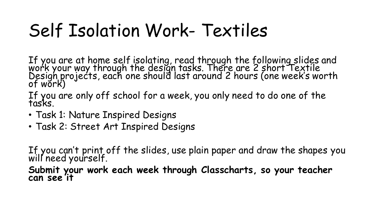# Self Isolation Work- Textiles

If you are at home self isolating, read through the following slides and work your way through the design tasks. There are 2 short Textile Design projects, each one should last around 2 hours (one week's worth of work)

If you are only off school for a week, you only need to do one of the tasks.

- Task 1: Nature Inspired Designs
- Task 2: Street Art Inspired Designs

If you can't print off the slides, use plain paper and draw the shapes you will need yourself.

**Submit your work each week through Classcharts, so your teacher can see it**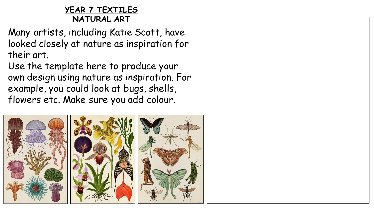### **YEAR 7 TEXTILES NATURAL ART**

Many artists, including Katie Scott, have looked closely at nature as inspiration for their art.

Use the template here to produce your own design using nature as inspiration. For example, you could look at bugs, shells, flowers etc. Make sure you add colour.



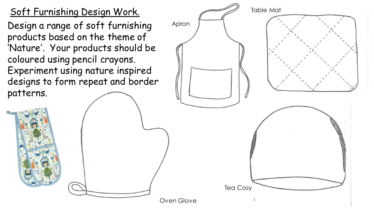## Soft Furnishing Design Work.

Design a range of soft furnishing products based on the theme of 'Nature'. Your products should be coloured using pencil crayons. Experiment using nature inspired designs to form repeat and border patterns.

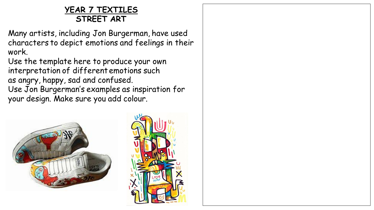### **YEAR 7 TEXTILES STREET ART**

Many artists, including Jon Burgerman, have used characters to depict emotions and feelings in their work.

Use the template here to produce your own interpretation of different emotions such as angry, happy, sad and confused. Use Jon Burgerman's examples as inspiration for

your design. Make sure you add colour.